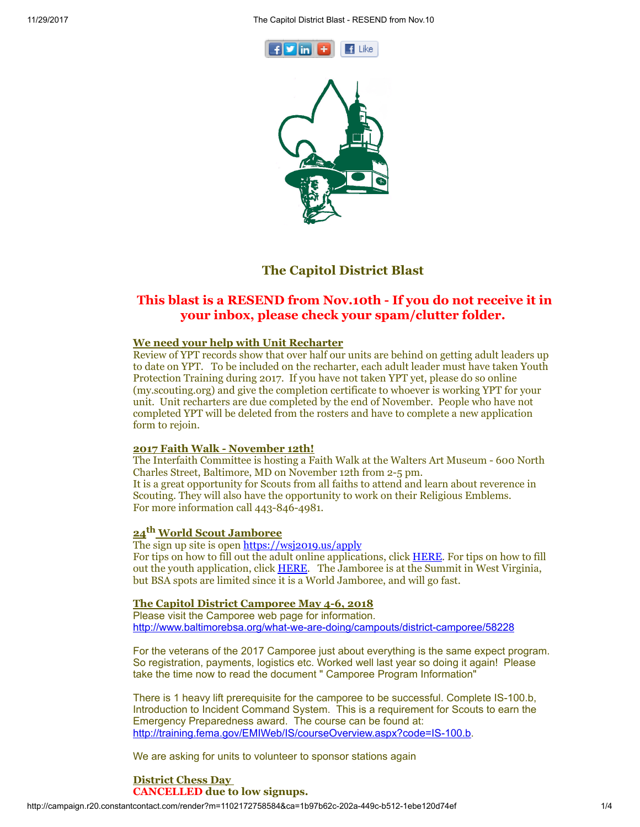11/29/2017 The Capitol District Blast - RESEND from Nov.10





# The Capitol District Blast

# This blast is a RESEND from Nov.10th - If you do not receive it in your inbox, please check your spam/clutter folder.

## We need your help with Unit Recharter

Review of YPT records show that over half our units are behind on getting adult leaders up to date on YPT. To be included on the recharter, each adult leader must have taken Youth Protection Training during 2017. If you have not taken YPT yet, please do so online (my.scouting.org) and give the completion certificate to whoever is working YPT for your unit. Unit recharters are due completed by the end of November. People who have not completed YPT will be deleted from the rosters and have to complete a new application form to rejoin.

### 2017 Faith Walk - November 12th!

The Interfaith Committee is hosting a Faith Walk at the Walters Art Museum - 600 North Charles Street, Baltimore, MD on November 12th from 2-5 pm. It is a great opportunity for Scouts from all faiths to attend and learn about reverence in Scouting. They will also have the opportunity to work on their Religious Emblems. For more information call 443-846-4981.

# 24<sup>th</sup> World Scout Jamboree

The sign up site is open [https://wsj2019.us/apply](https://urldefense.proofpoint.com/v2/url?u=https-3A__wsj2019.us_apply&d=DwQFaQ&c=NUhaNIajfB1frln1iJ2Yk7NG56jrODI6LbjgSoSeFoE&r=b8FyLEPjgBPUn6JYkZtz9eotQc5WP052lD2DF1sQAV8&m=77YUUHIXVn4KokzyjCQT3ktLGfChp9Gs8MvYV2z1HkM&s=6_aBaHmX_iEZ2u_6bS27JzfDQntqNqGzBIfJVBassEY&e=) For tips on how to fill out the adult online applications, click [HERE](https://wsj2019.us/wp-content/uploads/2017/10/USA-Adult-Application-Tips.pdf). For tips on how to fill out the youth application, click [HERE.](https://wsj2019.us/wp-content/uploads/2017/10/USA-Youth-Application-Tips.pdf) The Jamboree is at the Summit in West Virginia, but BSA spots are limited since it is a World Jamboree, and will go fast.

### The Capitol District Camporee May 4-6, 2018

Please visit the Camporee web page for information. <http://www.baltimorebsa.org/what-we-are-doing/campouts/district-camporee/58228>

For the veterans of the 2017 Camporee just about everything is the same expect program. So registration, payments, logistics etc. Worked well last year so doing it again! Please take the time now to read the document " Camporee Program Information"

There is 1 heavy lift prerequisite for the camporee to be successful. Complete IS-100.b, Introduction to Incident Command System. This is a requirement for Scouts to earn the Emergency Preparedness award. The course can be found at: <http://training.fema.gov/EMIWeb/IS/courseOverview.aspx?code=IS-100.b>.

We are asking for units to volunteer to sponsor stations again

#### District Chess Day CANCELLED due to low signups.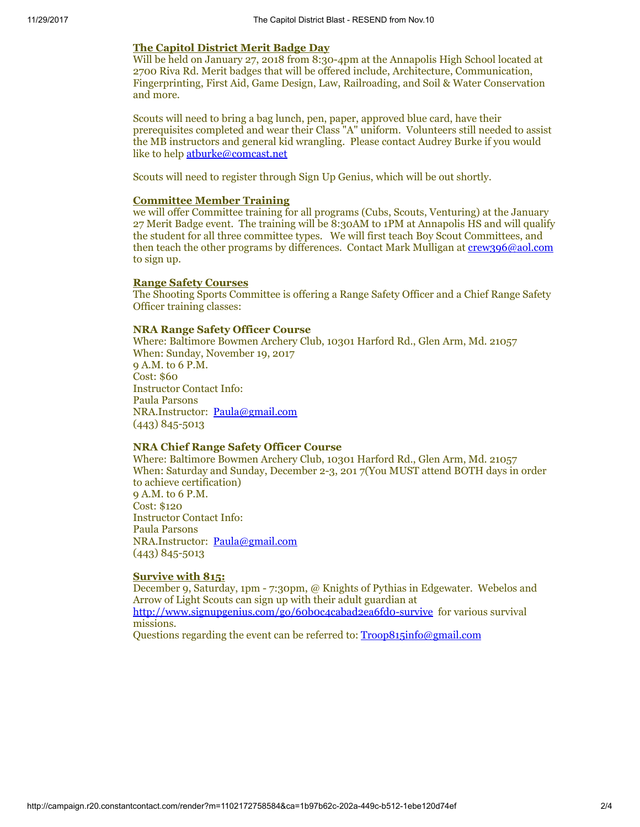#### The Capitol District Merit Badge Day

Will be held on January 27, 2018 from 8:30-4pm at the Annapolis High School located at 2700 Riva Rd. Merit badges that will be offered include, Architecture, Communication, Fingerprinting, First Aid, Game Design, Law, Railroading, and Soil & Water Conservation and more.

Scouts will need to bring a bag lunch, pen, paper, approved blue card, have their prerequisites completed and wear their Class "A" uniform. Volunteers still needed to assist the MB instructors and general kid wrangling. Please contact Audrey Burke if you would like to help [atburke@comcast.net](mailto:atburke@comcast.net)

Scouts will need to register through Sign Up Genius, which will be out shortly.

#### Committee Member Training

we will offer Committee training for all programs (Cubs, Scouts, Venturing) at the January 27 Merit Badge event. The training will be 8:30AM to 1PM at Annapolis HS and will qualify the student for all three committee types. We will first teach Boy Scout Committees, and then teach the other programs by differences. Contact Mark Mulligan at [crew396@aol.com](mailto:crew396@aol.com) to sign up.

#### Range Safety Courses

The Shooting Sports Committee is offering a Range Safety Officer and a Chief Range Safety Officer training classes:

#### NRA Range Safety Officer Course

Where: Baltimore Bowmen Archery Club, 10301 Harford Rd., Glen Arm, Md. 21057 When: Sunday, November 19, 2017 9 A.M. to 6 P.M. Cost: \$60 Instructor Contact Info: Paula Parsons NRA.Instructor: [Paula@gmail.com](mailto:Paula@gmail.com) (443) 845-5013

## NRA Chief Range Safety Officer Course

Where: Baltimore Bowmen Archery Club, 10301 Harford Rd., Glen Arm, Md. 21057 When: Saturday and Sunday, December 2-3, 201 7(You MUST attend BOTH days in order to achieve certification) 9 A.M. to 6 P.M. Cost: \$120 Instructor Contact Info: Paula Parsons NRA.Instructor: [Paula@gmail.com](mailto:paula@gmail.com) (443) 845-5013

# Survive with 815:

December 9, Saturday, 1pm - 7:30pm, @ Knights of Pythias in Edgewater. Webelos and Arrow of Light Scouts can sign up with their adult guardian at <http://www.signupgenius.com/go/60b0c4cabad2ea6fd0-survive> for various survival missions.

Questions regarding the event can be referred to: [Troop815info@gmail.com](mailto:Troop815info@gmail.com)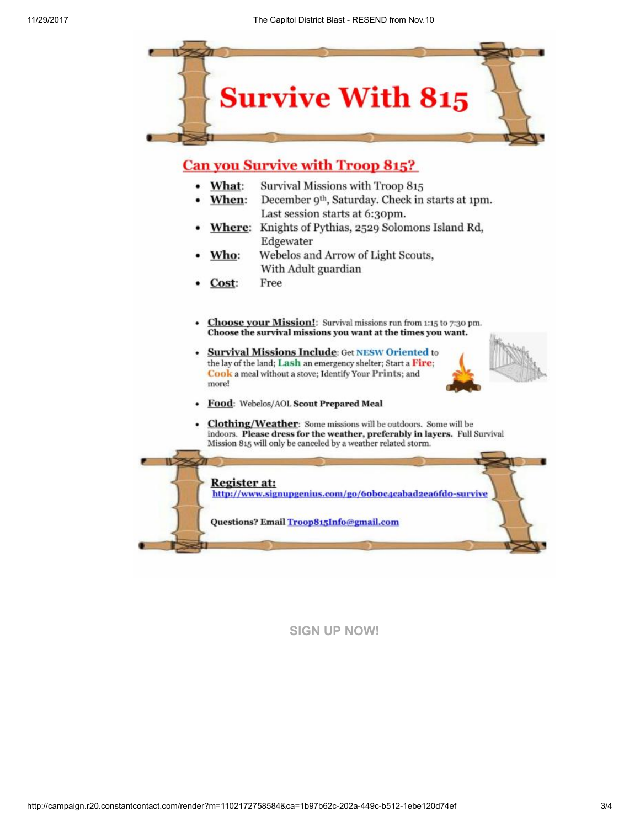

# **Can you Survive with Troop 815?**

- Survival Missions with Troop 815 • What:
- When: December 9<sup>th</sup>, Saturday. Check in starts at 1pm. Last session starts at 6:30pm.
- Where: Knights of Pythias, 2529 Solomons Island Rd, Edgewater
- Webelos and Arrow of Light Scouts, Who: With Adult guardian
- Free Cost:
- Choose your Mission!: Survival missions run from 1:15 to 7:30 pm. Choose the survival missions you want at the times you want.
- **Survival Missions Include: Get NESW Oriented to** the lay of the land; Lash an emergency shelter; Start a Fire; Cook a meal without a stove; Identify Your Prints; and more!



- Food: Webelos/AOL Scout Prepared Meal
- Clothing/Weather: Some missions will be outdoors. Some will be indoors. Please dress for the weather, preferably in layers. Full Survival Mission 815 will only be canceled by a weather related storm.

Register at: http://www.signupgenius.com/go/6oboc4cabad2ea6fdo-survive

Questions? Email Troop815Info@gmail.com

# [SIGN UP NOW!](https://visitor.r20.constantcontact.com/d.jsp?llr=yri8jpcab&p=oi&m=1102172758584&sit=wso59vmdb&f=a27b22d6-1ae3-4965-8fb0-13ded5301e7a)